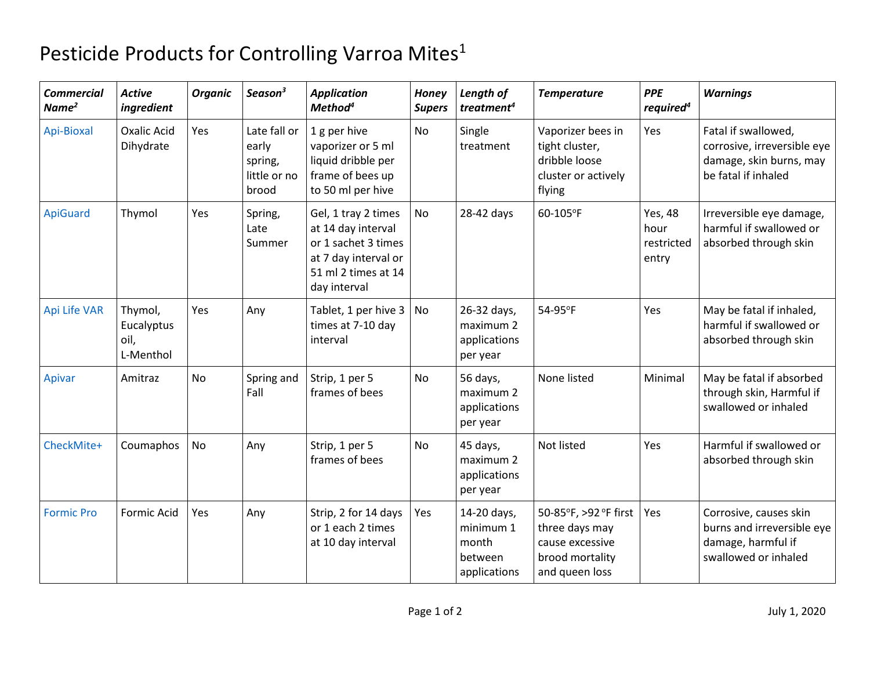## Pesticide Products for Controlling Varroa Mites<sup>1</sup>

| <b>Commercial</b><br>Name <sup>2</sup> | <b>Active</b><br>ingredient                | <b>Organic</b> | Season <sup>3</sup>                                       | <b>Application</b><br>Method <sup>4</sup>                                                                                       | <b>Honey</b><br><b>Supers</b> | Length of<br>treatment <sup>4</sup>                          | <b>Temperature</b>                                                                              | <b>PPE</b><br>required <sup>4</sup>    | <b>Warnings</b>                                                                                      |
|----------------------------------------|--------------------------------------------|----------------|-----------------------------------------------------------|---------------------------------------------------------------------------------------------------------------------------------|-------------------------------|--------------------------------------------------------------|-------------------------------------------------------------------------------------------------|----------------------------------------|------------------------------------------------------------------------------------------------------|
| Api-Bioxal                             | <b>Oxalic Acid</b><br>Dihydrate            | Yes            | Late fall or<br>early<br>spring,<br>little or no<br>brood | 1 g per hive<br>vaporizer or 5 ml<br>liquid dribble per<br>frame of bees up<br>to 50 ml per hive                                | No                            | Single<br>treatment                                          | Vaporizer bees in<br>tight cluster,<br>dribble loose<br>cluster or actively<br>flying           | Yes                                    | Fatal if swallowed,<br>corrosive, irreversible eye<br>damage, skin burns, may<br>be fatal if inhaled |
| <b>ApiGuard</b>                        | Thymol                                     | Yes            | Spring,<br>Late<br>Summer                                 | Gel, 1 tray 2 times<br>at 14 day interval<br>or 1 sachet 3 times<br>at 7 day interval or<br>51 ml 2 times at 14<br>day interval | <b>No</b>                     | 28-42 days                                                   | 60-105°F                                                                                        | Yes, 48<br>hour<br>restricted<br>entry | Irreversible eye damage,<br>harmful if swallowed or<br>absorbed through skin                         |
| <b>Api Life VAR</b>                    | Thymol,<br>Eucalyptus<br>oil,<br>L-Menthol | Yes            | Any                                                       | Tablet, 1 per hive 3<br>times at 7-10 day<br>interval                                                                           | <b>No</b>                     | 26-32 days,<br>maximum 2<br>applications<br>per year         | 54-95°F                                                                                         | Yes                                    | May be fatal if inhaled,<br>harmful if swallowed or<br>absorbed through skin                         |
| Apivar                                 | Amitraz                                    | <b>No</b>      | Spring and<br>Fall                                        | Strip, 1 per 5<br>frames of bees                                                                                                | <b>No</b>                     | 56 days,<br>maximum 2<br>applications<br>per year            | None listed                                                                                     | Minimal                                | May be fatal if absorbed<br>through skin, Harmful if<br>swallowed or inhaled                         |
| CheckMite+                             | Coumaphos                                  | <b>No</b>      | Any                                                       | Strip, 1 per 5<br>frames of bees                                                                                                | <b>No</b>                     | 45 days,<br>maximum 2<br>applications<br>per year            | Not listed                                                                                      | Yes                                    | Harmful if swallowed or<br>absorbed through skin                                                     |
| <b>Formic Pro</b>                      | Formic Acid                                | Yes            | Any                                                       | Strip, 2 for 14 days<br>or 1 each 2 times<br>at 10 day interval                                                                 | Yes                           | 14-20 days,<br>minimum 1<br>month<br>between<br>applications | 50-85°F, >92 °F first<br>three days may<br>cause excessive<br>brood mortality<br>and queen loss | Yes                                    | Corrosive, causes skin<br>burns and irreversible eye<br>damage, harmful if<br>swallowed or inhaled   |